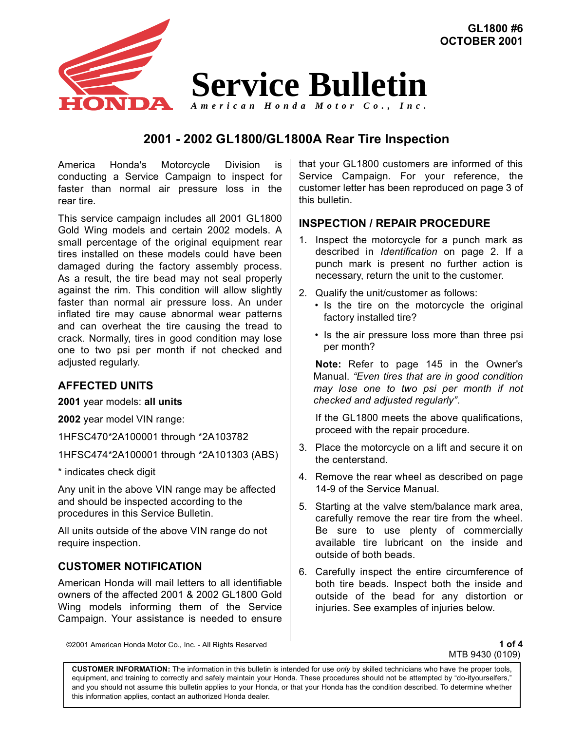

# **2001 - 2002 GL1800/GL1800A Rear Tire Inspection**

America Honda's Motorcycle Division is conducting a Service Campaign to inspect for faster than normal air pressure loss in the rear tire.

This service campaign includes all 2001 GL1800 Gold Wing models and certain 2002 models. A small percentage of the original equipment rear tires installed on these models could have been damaged during the factory assembly process. As a result, the tire bead may not seal properly against the rim. This condition will allow slightly faster than normal air pressure loss. An under inflated tire may cause abnormal wear patterns and can overheat the tire causing the tread to crack. Normally, tires in good condition may lose one to two psi per month if not checked and adjusted regularly.

## **AFFECTED UNITS**

**2001** year models: **all units**

**2002** year model VIN range:

1HFSC470\*2A100001 through \*2A103782

1HFSC474\*2A100001 through \*2A101303 (ABS)

\* indicates check digit

Any unit in the above VIN range may be affected and should be inspected according to the procedures in this Service Bulletin.

All units outside of the above VIN range do not require inspection.

### **CUSTOMER NOTIFICATION**

American Honda will mail letters to all identifiable owners of the affected 2001 & 2002 GL1800 Gold Wing models informing them of the Service Campaign. Your assistance is needed to ensure that your GL1800 customers are informed of this Service Campaign. For your reference, the customer letter has been reproduced on page 3 of this bulletin.

**GL1800 #6**

### **INSPECTION / REPAIR PROCEDURE**

- 1. Inspect the motorcycle for a punch mark as described in *Identification* on page 2. If a punch mark is present no further action is necessary, return the unit to the customer.
- 2. Qualify the unit/customer as follows:
	- Is the tire on the motorcycle the original factory installed tire?
	- Is the air pressure loss more than three psi per month?

**Note:** Refer to page 145 in the Owner's Manual. *"Even tires that are in good condition may lose one to two psi per month if not checked and adjusted regularly"*.

If the GL1800 meets the above qualifications, proceed with the repair procedure.

- 3. Place the motorcycle on a lift and secure it on the centerstand.
- 4. Remove the rear wheel as described on page 14-9 of the Service Manual.
- 5. Starting at the valve stem/balance mark area, carefully remove the rear tire from the wheel. Be sure to use plenty of commercially available tire lubricant on the inside and outside of both beads.
- 6. Carefully inspect the entire circumference of both tire beads. Inspect both the inside and outside of the bead for any distortion or injuries. See examples of injuries below.

©2001 American Honda Motor Co., Inc. - All Rights Reserved **1 of 4**

MTB 9430 (0109)

**CUSTOMER INFORMATION:** The information in this bulletin is intended for use *only* by skilled technicians who have the proper tools, equipment, and training to correctly and safely maintain your Honda. These procedures should not be attempted by "do-ityourselfers," and you should not assume this bulletin applies to your Honda, or that your Honda has the condition described. To determine whether this information applies, contact an authorized Honda dealer.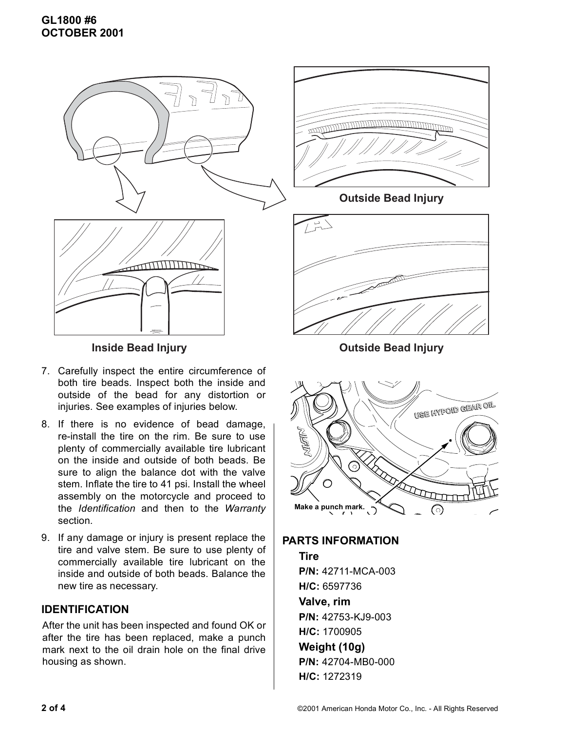

- 7. Carefully inspect the entire circumference of both tire beads. Inspect both the inside and outside of the bead for any distortion or injuries. See examples of injuries below.
- 8. If there is no evidence of bead damage, re-install the tire on the rim. Be sure to use plenty of commercially available tire lubricant on the inside and outside of both beads. Be sure to align the balance dot with the valve stem. Inflate the tire to 41 psi. Install the wheel assembly on the motorcycle and proceed to the *Identification* and then to the *Warranty* section.
- 9. If any damage or injury is present replace the tire and valve stem. Be sure to use plenty of commercially available tire lubricant on the inside and outside of both beads. Balance the new tire as necessary.

# **IDENTIFICATION**

After the unit has been inspected and found OK or after the tire has been replaced, make a punch mark next to the oil drain hole on the final drive housing as shown.



**Outside Bead Injury**



**Inside Bead Injury Construction Construction Construction Construction Construction Construction Construction Construction Construction Construction Construction Construction Construction Construction Construction Constru** 



**PARTS INFORMATION**

# **Tire P/N:** 42711-MCA-003 **H/C:** 6597736 **Valve, rim P/N:** 42753-KJ9-003 **H/C:** 1700905 **Weight (10g) P/N:** 42704-MB0-000 **H/C:** 1272319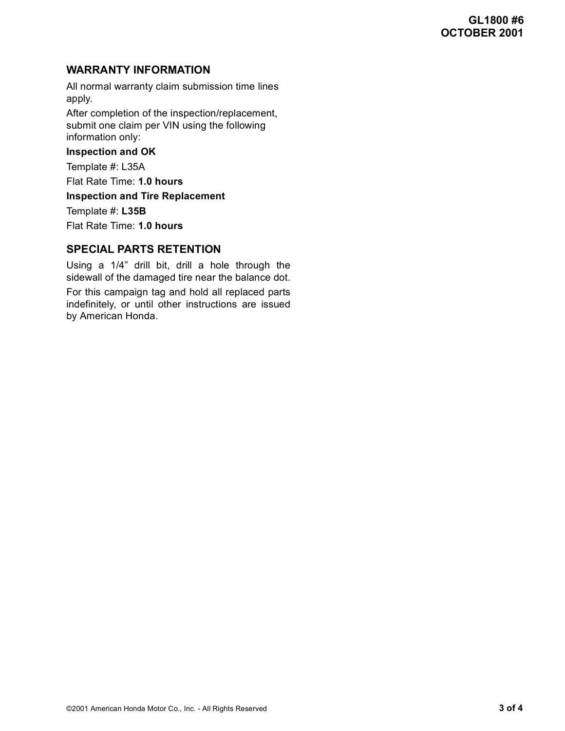# **WARRANTY INFORMATION**

All normal warranty claim submission time lines apply.

After completion of the inspection/replacement, submit one claim per VIN using the following information only:

#### **Inspection and OK**

Template #: L35A

Flat Rate Time: **1.0 hours**

**Inspection and Tire Replacement**

Template #: **L35B**

Flat Rate Time: **1.0 hours**

## **SPECIAL PARTS RETENTION**

Using a 1/4" drill bit, drill a hole through the sidewall of the damaged tire near the balance dot.

For this campaign tag and hold all replaced parts indefinitely, or until other instructions are issued by American Honda.